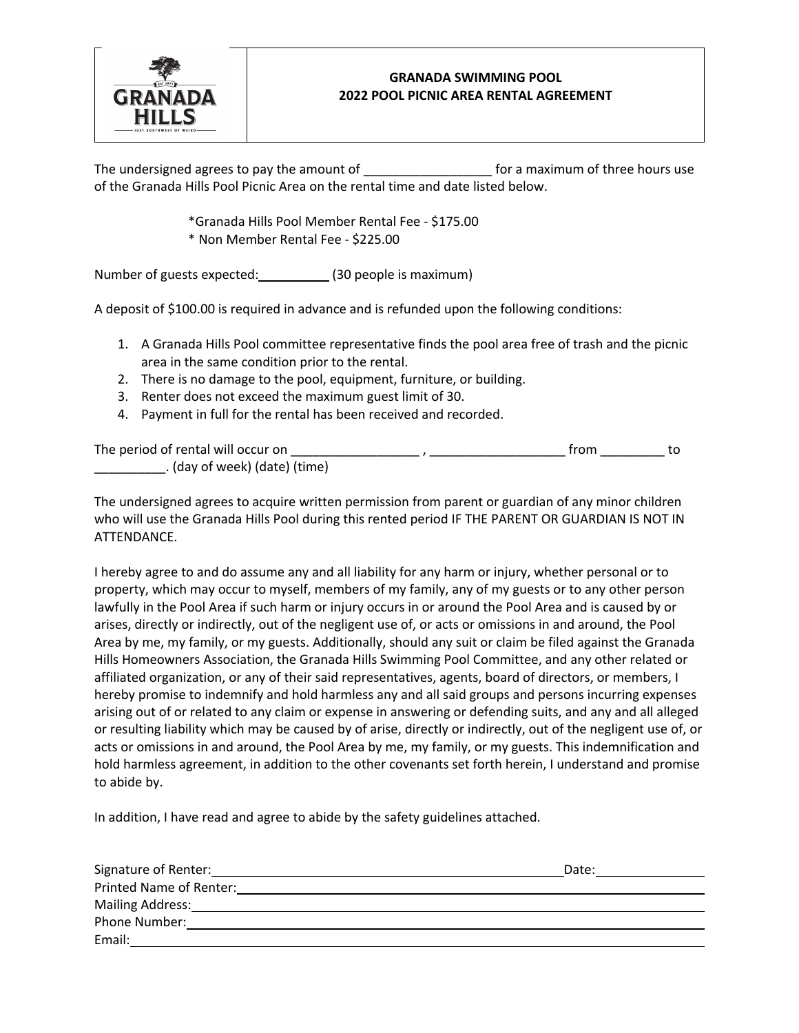

## **GRANADA SWIMMING POOL 2022 POOL PICNIC AREA RENTAL AGREEMENT**

The undersigned agrees to pay the amount of \_\_\_\_\_\_\_\_\_\_\_\_\_\_\_\_\_\_ for a maximum of three hours use of the Granada Hills Pool Picnic Area on the rental time and date listed below.

> \*Granada Hills Pool Member Rental Fee - \$175.00 \* Non Member Rental Fee - \$225.00

Number of guests expected: (30 people is maximum)

A deposit of \$100.00 is required in advance and is refunded upon the following conditions:

- 1. A Granada Hills Pool committee representative finds the pool area free of trash and the picnic area in the same condition prior to the rental.
- 2. There is no damage to the pool, equipment, furniture, or building.
- 3. Renter does not exceed the maximum guest limit of 30.
- 4. Payment in full for the rental has been received and recorded.

| The period of rental will occur on |  | trom |  |
|------------------------------------|--|------|--|
| . (day of week) (date) (time)      |  |      |  |

The undersigned agrees to acquire written permission from parent or guardian of any minor children who will use the Granada Hills Pool during this rented period IF THE PARENT OR GUARDIAN IS NOT IN ATTENDANCE.

I hereby agree to and do assume any and all liability for any harm or injury, whether personal or to property, which may occur to myself, members of my family, any of my guests or to any other person lawfully in the Pool Area if such harm or injury occurs in or around the Pool Area and is caused by or arises, directly or indirectly, out of the negligent use of, or acts or omissions in and around, the Pool Area by me, my family, or my guests. Additionally, should any suit or claim be filed against the Granada Hills Homeowners Association, the Granada Hills Swimming Pool Committee, and any other related or affiliated organization, or any of their said representatives, agents, board of directors, or members, I hereby promise to indemnify and hold harmless any and all said groups and persons incurring expenses arising out of or related to any claim or expense in answering or defending suits, and any and all alleged or resulting liability which may be caused by of arise, directly or indirectly, out of the negligent use of, or acts or omissions in and around, the Pool Area by me, my family, or my guests. This indemnification and hold harmless agreement, in addition to the other covenants set forth herein, I understand and promise to abide by.

In addition, I have read and agree to abide by the safety guidelines attached.

| Signature of Renter:    | Date: |
|-------------------------|-------|
| Printed Name of Renter: |       |
| <b>Mailing Address:</b> |       |
| Phone Number:           |       |
| Email:                  |       |